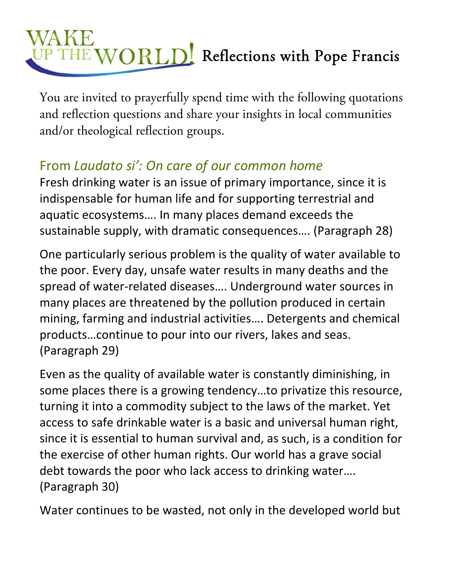## THE WORLD! Reflections with Pope Francis

You are invited to prayerfully spend time with the following quotations and reflection questions and share your insights in local communities and/or theological reflection groups.

## From *Laudato si': On care of our common home*

Fresh drinking water is an issue of primary importance, since it is indispensable for human life and for supporting terrestrial and aquatic ecosystems…. In many places demand exceeds the sustainable supply, with dramatic consequences…. (Paragraph 28)

One particularly serious problem is the quality of water available to the poor. Every day, unsafe water results in many deaths and the spread of water‐related diseases…. Underground water sources in many places are threatened by the pollution produced in certain mining, farming and industrial activities…. Detergents and chemical products…continue to pour into our rivers, lakes and seas. (Paragraph 29)

Even as the quality of available water is constantly diminishing, in some places there is a growing tendency…to privatize this resource, turning it into a commodity subject to the laws of the market. Yet access to safe drinkable water is a basic and universal human right, since it is essential to human survival and, as such, is a condition for the exercise of other human rights. Our world has a grave social debt towards the poor who lack access to drinking water…. (Paragraph 30)

Water continues to be wasted, not only in the developed world but